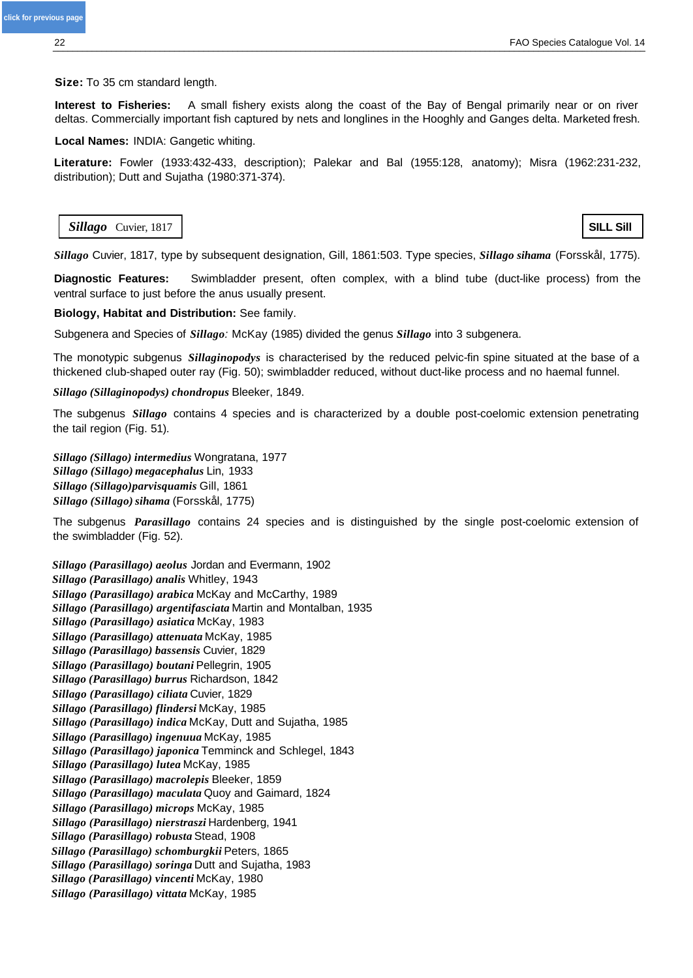## **Size:** To 35 cm standard length.

**Interest to Fisheries:** A small fishery exists along the coast of the Bay of Bengal primarily near or on river deltas. Commercially important fish captured by nets and longlines in the Hooghly and Ganges delta. Marketed fresh.

**Local Names:** INDIA: Gangetic whiting.

**Literature:** Fowler (1933:432-433, description); Palekar and Bal (1955:128, anatomy); Misra (1962:231-232, distribution); Dutt and Sujatha (1980:371-374).

**Sillago** Cuvier, 1817 **SILL Sill** 

*Sillago* Cuvier, 1817, type by subsequent designation, Gill, 1861:503. Type species, *Sillago sihama* (Forsskål, 1775).

**Diagnostic Features:** Swimbladder present, often complex, with a blind tube (duct-like process) from the ventral surface to just before the anus usually present.

## **Biology, Habitat and Distribution:** See family.

Subgenera and Species of *Sillago:* McKay (1985) divided the genus *Sillago* into 3 subgenera.

The monotypic subgenus *Sillaginopodys* is characterised by the reduced pelvic-fin spine situated at the base of a thickened club-shaped outer ray (Fig. 50); swimbladder reduced, without duct-like process and no haemal funnel.

*Sillago (Sillaginopodys) chondropus* Bleeker, 1849.

The subgenus *Sillago* contains 4 species and is characterized by a double post-coelomic extension penetrating the tail region (Fig. 51).

*Sillago (Sillago) intermedius* Wongratana, 1977 *Sillago (Sillago) megacephalus* Lin, 1933 *Sillago (Sillago)parvisquamis* Gill, 1861 *Sillago (Sillago)sihama* (Forsskål, 1775)

The subgenus *Parasillago* contains 24 species and is distinguished by the single post-coelomic extension of the swimbladder (Fig. 52).

*Sillago (Parasillago) aeolus* Jordan and Evermann, 1902 *Sillago (Parasillago) analis* Whitley, 1943 *Sillago (Parasillago) arabica* McKay and McCarthy, 1989 *Sillago (Parasillago) argentifasciata* Martin and Montalban, 1935 *Sillago (Parasillago) asiatica* McKay, 1983 *Sillago (Parasillago) attenuata* McKay, 1985 *Sillago (Parasillago) bassensis* Cuvier, 1829 *Sillago (Parasillago) boutani* Pellegrin, 1905 *Sillago (Parasillago) burrus* Richardson, 1842 *Sillago (Parasillago) ciliata* Cuvier, 1829 *Sillago (Parasillago) flindersi* McKay, 1985 *Sillago (Parasillago) indica* McKay, Dutt and Sujatha, 1985 *Sillago (Parasillago) ingenuua* McKay, 1985 *Sillago (Parasillago) japonica* Temminck and Schlegel, 1843 *Sillago (Parasillago) lutea* McKay, 1985 *Sillago (Parasillago) macrolepis* Bleeker, 1859 *Sillago (Parasillago) maculata* Quoy and Gaimard, 1824 *Sillago (Parasillago) microps* McKay, 1985 *Sillago (Parasillago) nierstraszi* Hardenberg, 1941 *Sillago (Parasillago) robusta* Stead, 1908 *Sillago (Parasillago) schomburgkii* Peters, 1865 *Sillago (Parasillago) soringa* Dutt and Sujatha, 1983 *Sillago (Parasillago) vincenti* McKay, 1980 *Sillago (Parasillago) vittata* McKay, 1985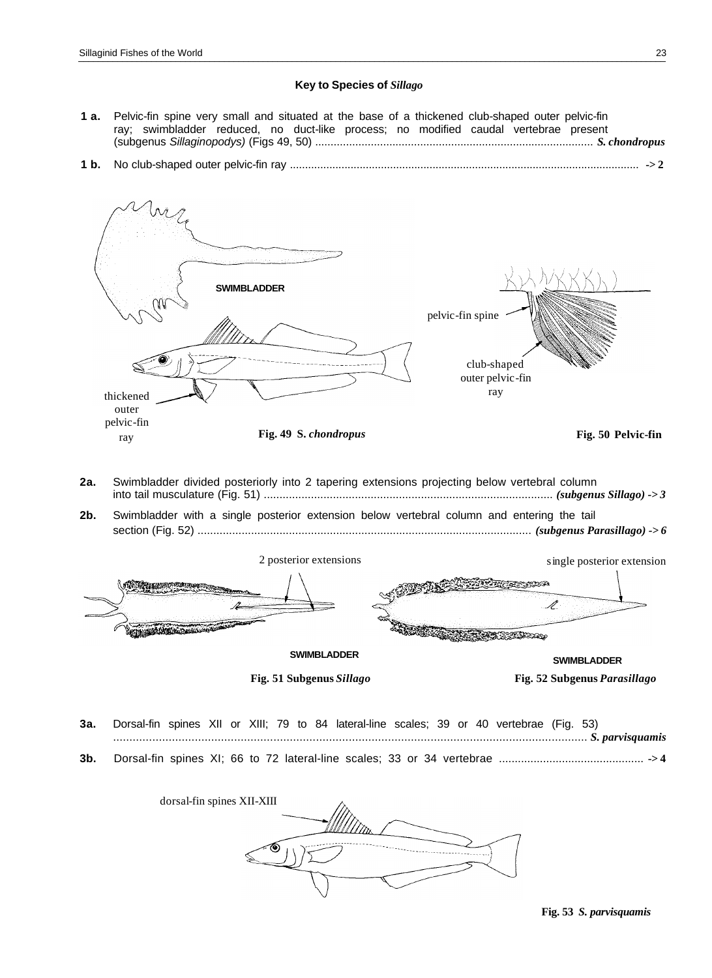## **Key to Species of** *Sillago*

- **1 a.** Pelvic-fin spine very small and situated at the base of a thickened club-shaped outer pelvic-fin ray; swimbladder reduced, no duct-like process; no modified caudal vertebrae present (subgenus *Sillaginopodys)* (Figs 49, 50) .......................................................................................... *S. chondropus*
- **1 b.** No club-shaped outer pelvic-fin ray ................................................................................................................... **-> 2**

**SWIMBLADDER** pelvic-fin spine club-shaped outer pelvic-fin thickened ray ray outer pelvic-fin ray **Fig. 49 S.** *chondropus* **Fig. 50 Pelvic-fin**

- **2a.** Swimbladder divided posteriorly into 2 tapering extensions projecting below vertebral column into tail musculature (Fig. 51) ............................................................................................ *(subgenus Sillago) -> 3*
- **2b.** Swimbladder with a single posterior extension below vertebral column and entering the tail section (Fig. 52) .......................................................................................................... *(subgenus Parasillago) -> 6*



**Fig. 51 Subgenus** *Sillago* **Fig. 52 Subgenus** *Parasillago*

- **3a.** Dorsal-fin spines XII or XIII; 79 to 84 lateral-line scales; 39 or 40 vertebrae (Fig. 53) ................................................................................................................................................. *S. parvisquamis*
- **3b.** Dorsal-fin spines XI; 66 to 72 lateral-line scales; 33 or 34 vertebrae .............................................. **-> 4**

| dorsal-fin spines XII-XIII |  |
|----------------------------|--|
|                            |  |
|                            |  |
|                            |  |

**Fig. 53** *S. parvisquamis*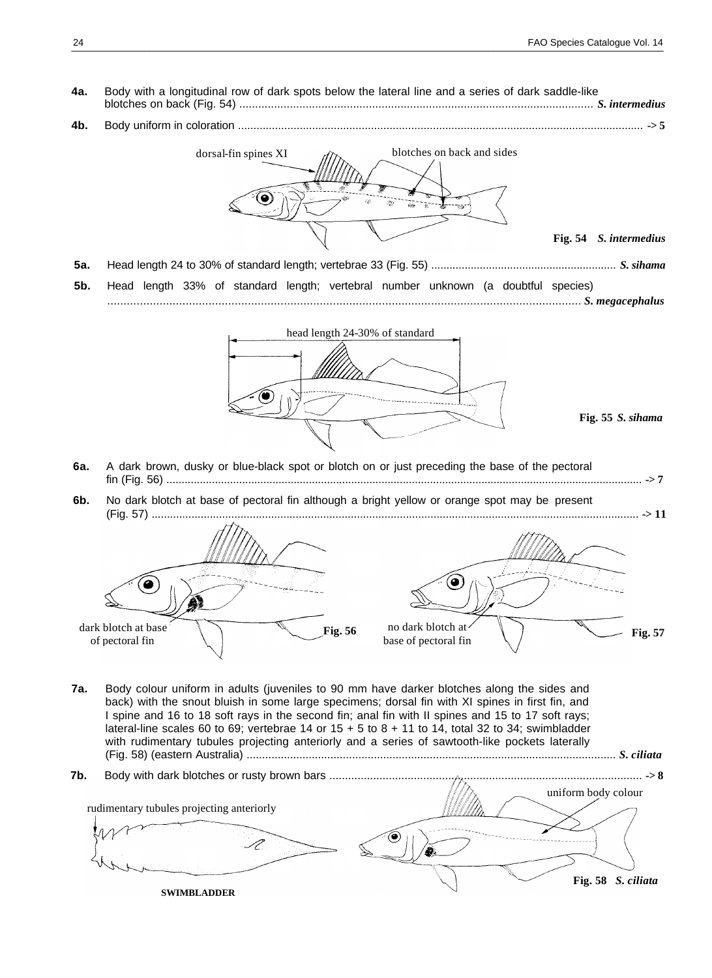<span id="page-2-0"></span>**4a.** Body with a longitudinal row of dark spots below the lateral line and a series of dark saddle-like blotches on back (Fig. 54) ................................................................................................................ *S. intermedius* **4b.** Body uniform in coloration ................................................................................................................................... **-> 5** dorsal-fin spines XI  $d\gamma$  blotches on back and sides **Fig. 54** *S. intermedius* **5a.** Head length 24 to 30% of standard length; vertebrae 33 (Fig. 55) ............................................................. *S. sihama* **5b.** Head length 33% of standard length; vertebral number unknown (a doubtful species) ................................................................................................................................................. *S. megacephalus* head length 24-30% of standard **Fig. 55** *S. sihama* **6a.** A dark brown, dusky or blue-black spot or blotch on or just preceding the base of the pectoral fin (Fig. 56) ............................................................................................................................................................. **-> 7 6b.** No dark blotch at base of pectoral fin although a bright yellow or orange spot may be present (Fig. 57) ............................................................................................................................................................... **-> 11** ◉ Ō dark blotch at base The Fig. 56 no dark blotch at <br>
Fig. 56 no dark blotch at **Fig. 57**<br>
base of pectoral fin **Fig. 57 7a.** Body colour uniform in adults (juveniles to 90 mm have darker blotches along the sides and back) with the snout bluish in some large specimens; dorsal fin with XI spines in first fin, and I spine and 16 to 18 soft rays in the second fin; anal fin with II spines and 15 to 17 soft rays; lateral-line scales 60 to 69; vertebrae 14 or  $15 + 5$  to  $8 + 11$  to 14, total 32 to 34; swimbladder with rudimentary tubules projecting anteriorly and a series of sawtooth-like pockets laterally (Fig. 58) (eastern Australia) ....................................................................................................................... *S. ciliata* **7b.** Body with dark blotches or rusty brown bars .................................................................................................... **-> 8** uniform body colour rudimentary tubules projecting anteriorly P **Fig. 58** *S. ciliata* **SWIMBLADDER**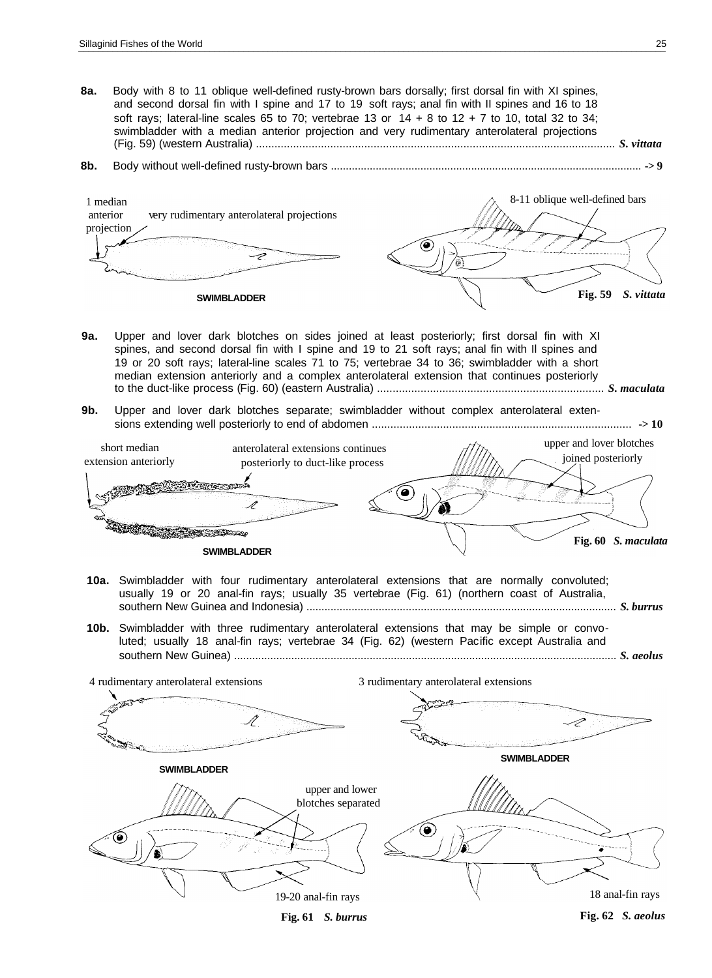**8a.** Body with 8 to 11 oblique well-defined rusty-brown bars dorsally; first dorsal fin with XI spines, and second dorsal fin with I spine and 17 to 19 soft rays; anal fin with II spines and 16 to 18 soft rays; lateral-line scales 65 to 70; vertebrae 13 or  $14 + 8$  to  $12 + 7$  to 10, total 32 to 34; swimbladder with a median anterior projection and very rudimentary anterolateral projections (Fig. 59) (western Australia) .................................................................................................................... *S. vittata* **8b.** Body without well-defined rusty-brown bars ........................................................................................................ **-> 9** 8-11 oblique well-defined bars 1 median anterior very rudimentary anterolateral projections projection ⇁ **Fig. 59** *S. vittata* **SWIMBLADDER 9a.** Upper and lover dark blotches on sides joined at least posteriorly; first dorsal fin with XI spines, and second dorsal fin with I spine and 19 to 21 soft rays; anal fin with Il spines and 19 or 20 soft rays; lateral-line scales 71 to 75; vertebrae 34 to 36; swimbladder with a short median extension anteriorly and a complex anterolateral extension that continues posteriorly to the duct-like process (Fig. 60) (eastern Australia) ......................................................................... *S. maculata* **9b.** Upper and lover dark blotches separate; swimbladder without complex anterolateral extensions extending well posteriorly to end of abdomen .................................................................................... **-> 10** upper and lover blotches short median anterolateral extensions continues joined posteriorly extension anteriorly posteriorly to duct-like process ø **RACTES AND STATE Fig. 60** *S. maculata* **SWIMBLADDER 10a.** Swimbladder with four rudimentary anterolateral extensions that are normally convoluted; usually 19 or 20 anal-fin rays; usually 35 vertebrae (Fig. 61) (northern coast of Australia, southern New Guinea and Indonesia) ....................................................................................................... *S. burrus* **10b.** Swimbladder with three rudimentary anterolateral extensions that may be simple or convoluted; usually 18 anal-fin rays; vertebrae 34 (Fig. 62) (western Pacific except Australia and southern New Guinea) ............................................................................................................................... *S. aeolus* 4 rudimentary anterolateral extensions 3 rudimentary anterolateral extensions Ĥ **SWIMBLADDER SWIMBLADDER** upper and lower blotches separated 0 18 anal-fin rays 19-20 anal-fin rays **Fig. 62** *S. aeolus* **Fig. 61** *S. burrus*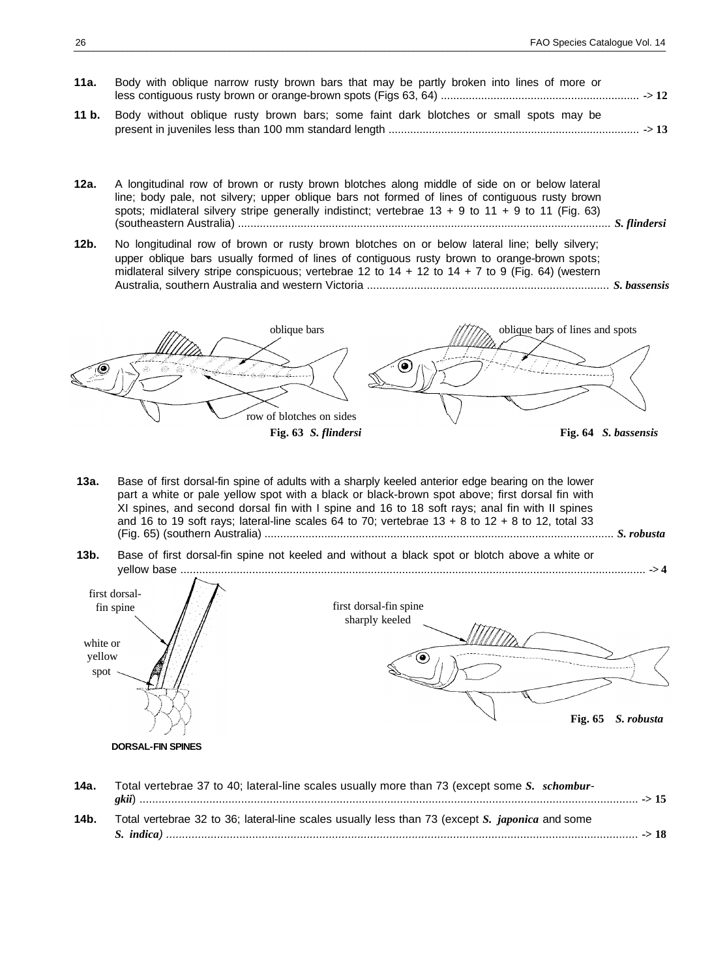- **11a.** Body with oblique narrow rusty brown bars that may be partly broken into lines of more or less contiguous rusty brown or orange-brown spots (Figs 63, 64) ................................................................ **-> 12 11 b.** Body without oblique rusty brown bars; some faint dark blotches or small spots may be present in juveniles less than 100 mm standard length ................................................................................. **-> 13**
- **12a.** A longitudinal row of brown or rusty brown blotches along middle of side on or below lateral line; body pale, not silvery; upper oblique bars not formed of lines of contiguous rusty brown spots; midlateral silvery stripe generally indistinct; vertebrae 13 + 9 to 11 + 9 to 11 (Fig. 63) (southeastern Australia) ....................................................................................................................... *S. flindersi*
- **12b.** No longitudinal row of brown or rusty brown blotches on or below lateral line; belly silvery; upper oblique bars usually formed of lines of contiguous rusty brown to orange-brown spots; midlateral silvery stripe conspicuous; vertebrae 12 to  $14 + 12$  to  $14 + 7$  to 9 (Fig. 64) (western Australia, southern Australia and western Victoria ............................................................................. *S. bassensis*

oblique bars  $\sqrt{\frac{1}{2}}\lambda$  oblique bars of lines and spots ◉ row of blotches on sides **Fig. 63** *S. flindersi* **Fig. 64** *S. bassensis*

- **13a.** Base of first dorsal-fin spine of adults with a sharply keeled anterior edge bearing on the lower part a white or pale yellow spot with a black or black-brown spot above; first dorsal fin with XI spines, and second dorsal fin with I spine and 16 to 18 soft rays; anal fin with II spines and 16 to 19 soft rays; lateral-line scales 64 to 70; vertebrae  $13 + 8$  to  $12 + 8$  to 12, total 33 (Fig. 65) (southern Australia) ............................................................................................................... *S. robusta*
- **13b.** Base of first dorsal-fin spine not keeled and without a black spot or blotch above a white or yellow base ..................................................................................................................................................... **-> 4**



**14a.** Total vertebrae 37 to 40; lateral-line scales usually more than 73 (except some *S. schomburgkii*) ............................................................................................................................................................. **-> 15 14b.** Total vertebrae 32 to 36; lateral-line scales usually less than 73 (except *S. japonica* and some *S. indica) ....................................................................................................................................................* **-> 18**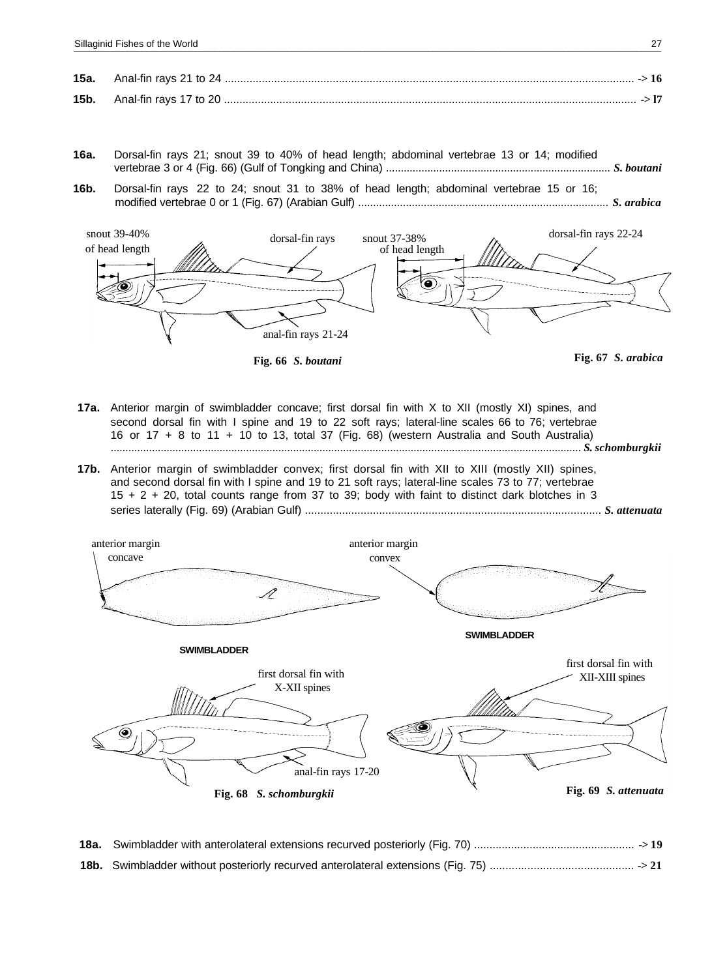- **16a.** Dorsal-fin rays 21; snout 39 to 40% of head length; abdominal vertebrae 13 or 14; modified vertebrae 3 or 4 (Fig. 66) (Gulf of Tongking and China) ............................................................................ *S. boutani*
- **16b.** Dorsal-fin rays 22 to 24; snout 31 to 38% of head length; abdominal vertebrae 15 or 16; modified vertebrae 0 or 1 (Fig. 67) (Arabian Gulf) .................................................................................... *S. arabica*



**Fig. 66** *S. boutani* **Fig. 67** *S. arabica*



- **17a.** Anterior margin of swimbladder concave; first dorsal fin with X to XII (mostly XI) spines, and second dorsal fin with I spine and 19 to 22 soft rays; lateral-line scales 66 to 76; vertebrae 16 or 17 + 8 to 11 + 10 to 13, total 37 (Fig. 68) (western Australia and South Australia) ................................................................................................................................................................ *S. schomburgkii*
- **17b.** Anterior margin of swimbladder convex; first dorsal fin with XII to XIII (mostly XII) spines, and second dorsal fin with I spine and 19 to 21 soft rays; lateral-line scales 73 to 77; vertebrae 15 + 2 + 20, total counts range from 37 to 39; body with faint to distinct dark blotches in 3 series laterally (Fig. 69) (Arabian Gulf) ................................................................................................ *S. attenuata*



**18a.** Swimbladder with anterolateral extensions recurved posteriorly (Fig. 70) .................................................... **-> 19 18b.** Swimbladder without posteriorly recurved anterolateral extensions (Fig. 75) .............................................. **-> 21**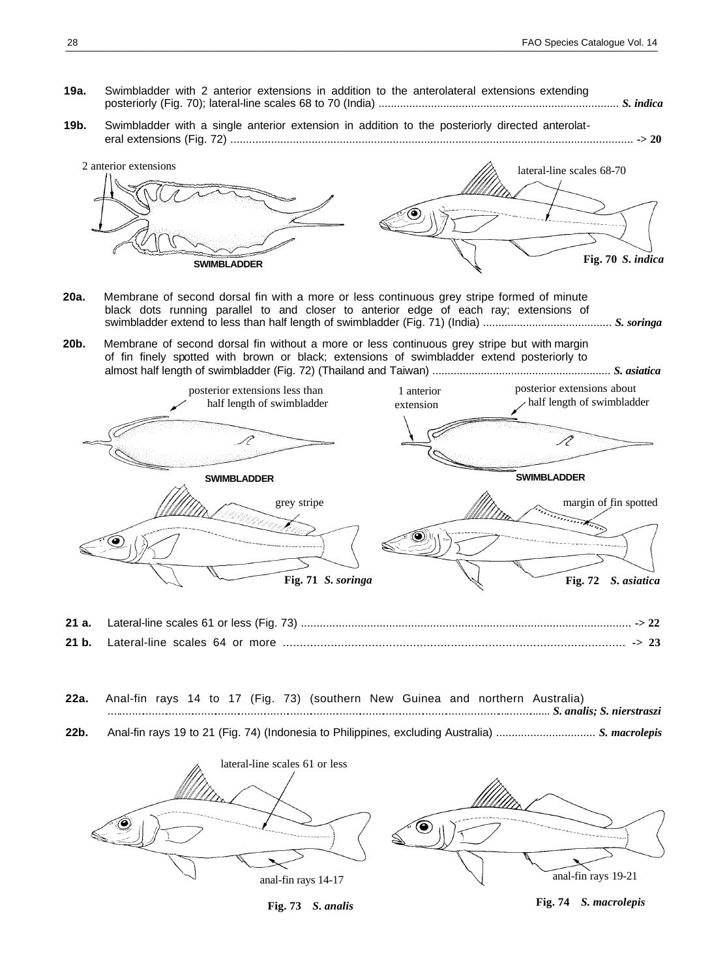- **19a.** Swimbladder with 2 anterior extensions in addition to the anterolateral extensions extending posteriorly (Fig. 70); lateral-line scales 68 to 70 (India) .............................................................................. *S. indica*
- **19b.** Swimbladder with a single anterior extension in addition to the posteriorly directed anterolateral extensions (Fig. 72) ................................................................................................................................. **-> 20**



- **20a.** Membrane of second dorsal fin with a more or less continuous grey stripe formed of minute black dots running parallel to and closer to anterior edge of each ray; extensions of swimbladder extend to less than half length of swimbladder (Fig. 71) (India) .......................................... *S. soringa*
- **20b.** Membrane of second dorsal fin without a more or less continuous grey stripe but with margin of fin finely spotted with brown or black; extensions of swimbladder extend posteriorly to almost half length of swimbladder (Fig. 72) (Thailand and Taiwan) ........................................................... *S. asiatica*



- **21 b.** Lateral-line scales 64 or more .................................................................................................... **-> 23**
- **22a.** Anal-fin rays 14 to 17 (Fig. 73) (southern New Guinea and northern Australia) ......................................................................................................................................... *S. analis; S. nierstraszi*
- **22b.** Anal-fin rays 19 to 21 (Fig. 74) (Indonesia to Philippines, excluding Australia) ................................ *S. macrolepis*



**Fig. 73** *S. analis*

**Fig. 74** *S. macrolepis*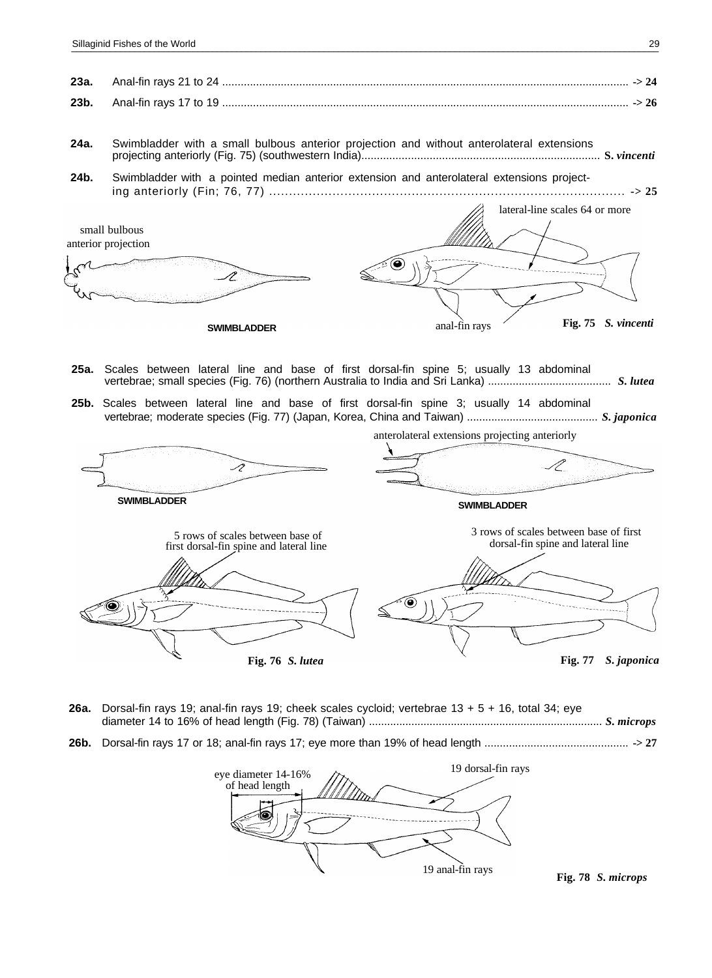- **24a.** Swimbladder with a small bulbous anterior projection and without anterolateral extensions projecting anteriorly (Fig. 75) (southwestern India)............................................................................. **S.** *vincenti*
- **24b.** Swimbladder with a pointed median anterior extension and anterolateral extensions projecting anteriorly (Fin; 76, 77) .......................................................................................... **-> 25**

lateral-line scales 64 or more small bulbous anterior projection ╱ **Fig. 75** *S. vincenti* **SWIMBLADDER** anal-fin rays

- **25a.** Scales between lateral line and base of first dorsal-fin spine 5; usually 13 abdominal vertebrae; small species (Fig. 76) (northern Australia to India and Sri Lanka) ........................................ *S. lutea*
- **25b.** Scales between lateral line and base of first dorsal-fin spine 3; usually 14 abdominal vertebrae; moderate species (Fig. 77) (Japan, Korea, China and Taiwan) ........................................... *S. japonica*



anterolateral extensions projecting anteriorly

**SWIMBLADDER SWIMBLADDER** 5 rows of scales between base of first dorsal-fin spine and lateral line 3 rows of scales between base of first dorsal-fin spine and lateral line **Fig. 76** *S. lutea* **Fig. 77** *S. japonica*

- **26a.** Dorsal-fin rays 19; anal-fin rays 19; cheek scales cycloid; vertebrae 13 + 5 + 16, total 34; eye diameter 14 to 16% of head length (Fig. 78) (Taiwan) ............................................................................. *S. microps*
- **26b.** Dorsal-fin rays 17 or 18; anal-fin rays 17; eye more than 19% of head length ............................................... **-> 27**

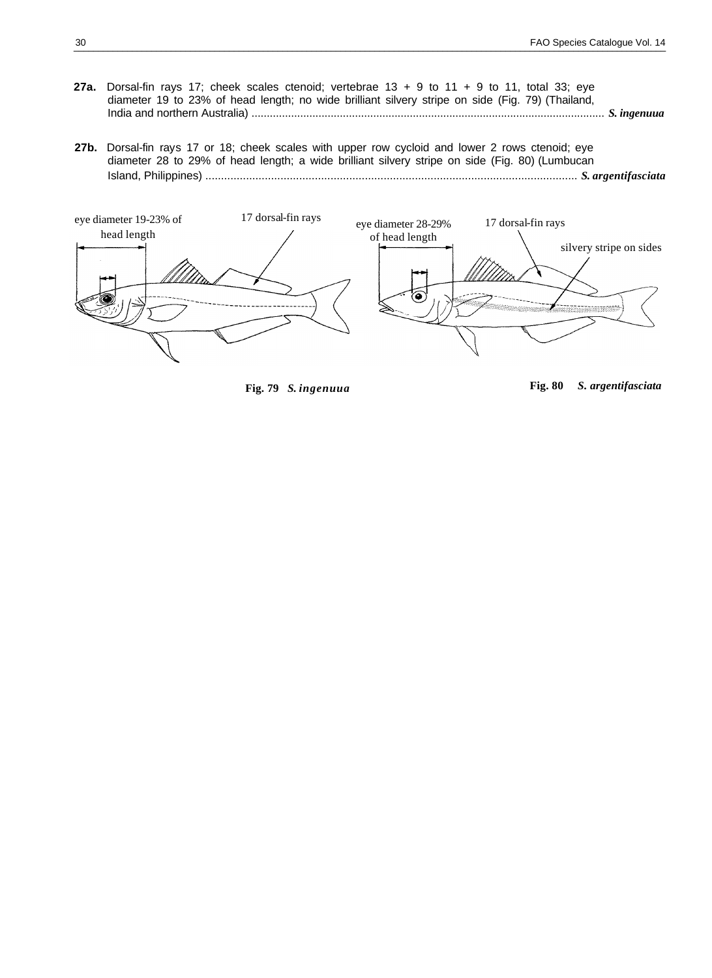- **27a.** Dorsal-fin rays 17; cheek scales ctenoid; vertebrae 13 + 9 to 11 + 9 to 11, total 33; eye diameter 19 to 23% of head length; no wide brilliant silvery stripe on side (Fig. 79) (Thailand, India and northern Australia) .................................................................................................................... *S. ingenuua*
- **27b.** Dorsal-fin rays 17 or 18; cheek scales with upper row cycloid and lower 2 rows ctenoid; eye diameter 28 to 29% of head length; a wide brilliant silvery stripe on side (Fig. 80) (Lumbucan Island, Philippines) ....................................................................................................................... *S. argentifasciata*



**Fig. 79** *S. ingenuua* **Fig. 80** *S. argentifasciata*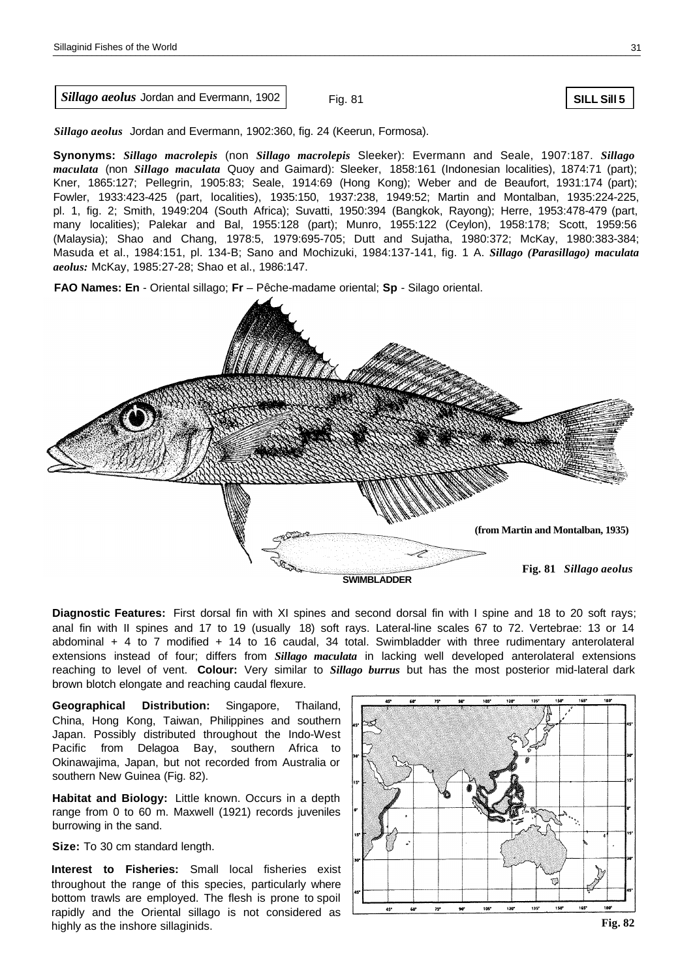*Sillago aeolus* Jordan and Evermann, 1902

Fig. 81

**SILL Sill 5**

*Sillago aeolus* Jordan and Evermann, 1902:360, fig. 24 (Keerun, Formosa).

**Synonyms:** *Sillago macrolepis* (non *Sillago macrolepis* Sleeker): Evermann and Seale, 1907:187. *Sillago maculata* (non *Sillago maculata* Quoy and Gaimard): Sleeker, 1858:161 (Indonesian localities), 1874:71 (part); Kner, 1865:127; Pellegrin, 1905:83; Seale, 1914:69 (Hong Kong); Weber and de Beaufort, 1931:174 (part); Fowler, 1933:423-425 (part, localities), 1935:150, 1937:238, 1949:52; Martin and Montalban, 1935:224-225, pl. 1, fig. 2; Smith, 1949:204 (South Africa); Suvatti, 1950:394 (Bangkok, Rayong); Herre, 1953:478-479 (part, many localities); Palekar and Bal, 1955:128 (part); Munro, 1955:122 (Ceylon), 1958:178; Scott, 1959:56 (Malaysia); Shao and Chang, 1978:5, 1979:695-705; Dutt and Sujatha, 1980:372; McKay, 1980:383-384; Masuda et al., 1984:151, pl. 134-B; Sano and Mochizuki, 1984:137-141, fig. 1 A. *Sillago (Parasillago) maculata aeolus:* McKay, 1985:27-28; Shao et al., 1986:147.

**FAO Names: En** - Oriental sillago; **Fr** – Pêche-madame oriental; **Sp** - Silago oriental.



**Diagnostic Features:** First dorsal fin with XI spines and second dorsal fin with I spine and 18 to 20 soft rays; anal fin with II spines and 17 to 19 (usually 18) soft rays. Lateral-line scales 67 to 72. Vertebrae: 13 or 14 abdominal + 4 to 7 modified + 14 to 16 caudal, 34 total. Swimbladder with three rudimentary anterolateral extensions instead of four; differs from *Sillago maculata* in lacking well developed anterolateral extensions reaching to level of vent. **Colour:** Very similar to *Sillago burrus* but has the most posterior mid-lateral dark brown blotch elongate and reaching caudal flexure.

**Geographical Distribution:** Singapore, Thailand, China, Hong Kong, Taiwan, Philippines and southern Japan. Possibly distributed throughout the Indo-West Pacific from Delagoa Bay, southern Africa to Okinawajima, Japan, but not recorded from Australia or southern New Guinea (Fig. 82).

**Habitat and Biology:** Little known. Occurs in a depth range from 0 to 60 m. Maxwell (1921) records juveniles burrowing in the sand.

**Size:** To 30 cm standard length.

**Interest to Fisheries:** Small local fisheries exist throughout the range of this species, particularly where bottom trawls are employed. The flesh is prone to spoil rapidly and the Oriental sillago is not considered as highly as the inshore sillaginids.

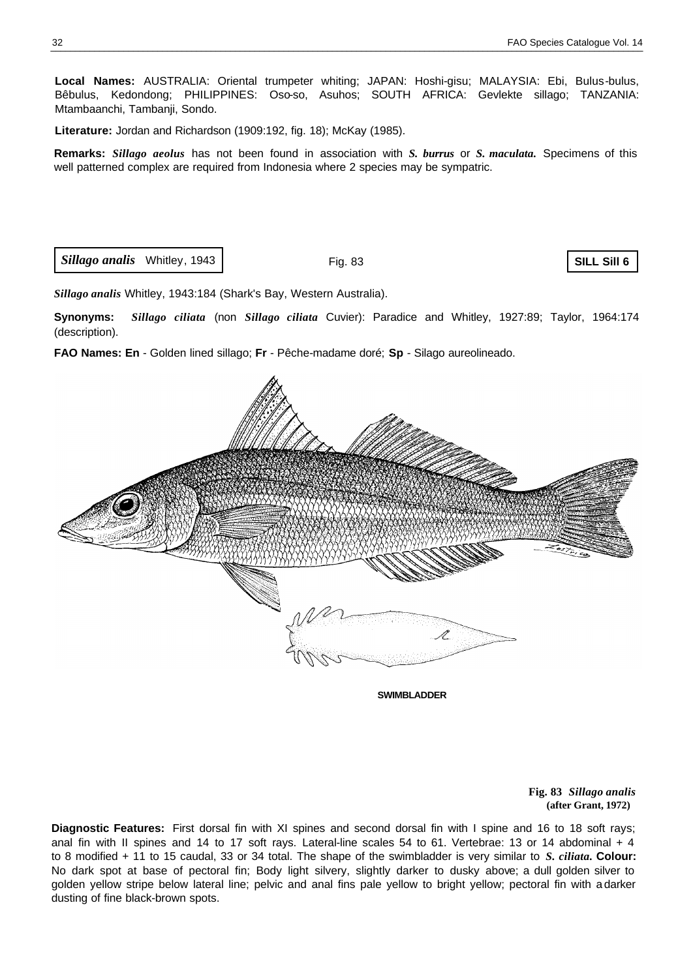**Local Names:** AUSTRALIA: Oriental trumpeter whiting; JAPAN: Hoshi-gisu; MALAYSIA: Ebi, Bulus-bulus, Bêbulus, Kedondong; PHILIPPINES: Oso-so, Asuhos; SOUTH AFRICA: Gevlekte sillago; TANZANIA: Mtambaanchi, Tambanji, Sondo.

**Literature:** Jordan and Richardson (1909:192, fig. 18); McKay (1985).

**Remarks:** *Sillago aeolus* has not been found in association with *S. burrus* or *S. maculata.* Specimens of this well patterned complex are required from Indonesia where 2 species may be sympatric.

*Sillago analis* Whitley, 1943

Fig. 83

**SILL Sill 6**

*Sillago analis* Whitley, 1943:184 (Shark's Bay, Western Australia).

**Synonyms:** *Sillago ciliata* (non *Sillago ciliata* Cuvier): Paradice and Whitley, 1927:89; Taylor, 1964:174 (description).

**FAO Names: En** - Golden lined sillago; **Fr** - Pêche-madame doré; **Sp** - Silago aureolineado.



**SWIMBLADDER**

**Fig. 83** *Sillago analis* **(after Grant, 1972)**

**Diagnostic Features:** First dorsal fin with XI spines and second dorsal fin with I spine and 16 to 18 soft rays; anal fin with II spines and 14 to 17 soft rays. Lateral-line scales 54 to 61. Vertebrae: 13 or 14 abdominal + 4 to 8 modified + 11 to 15 caudal, 33 or 34 total. The shape of the swimbladder is very similar to *S. ciliata.* **Colour:**  No dark spot at base of pectoral fin; Body light silvery, slightly darker to dusky above; a dull golden silver to golden yellow stripe below lateral line; pelvic and anal fins pale yellow to bright yellow; pectoral fin with a darker dusting of fine black-brown spots.